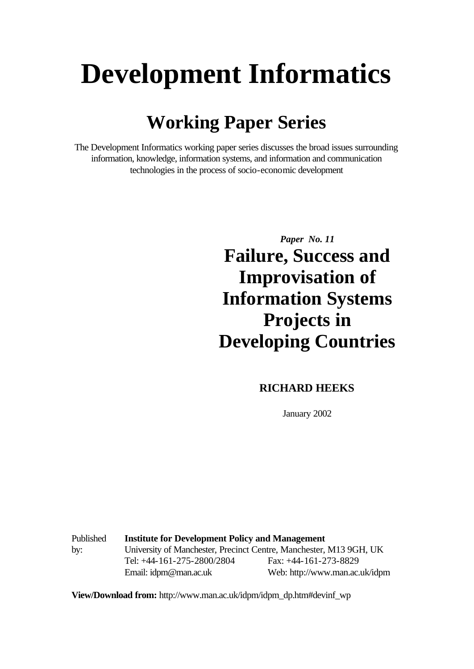# **Development Informatics**

# **Working Paper Series**

The Development Informatics working paper series discusses the broad issues surrounding information, knowledge, information systems, and information and communication technologies in the process of socio-economic development

*Paper No. 11*

**Failure, Success and Improvisation of Information Systems Projects in Developing Countries**

#### **RICHARD HEEKS**

January 2002

Published by: **Institute for Development Policy and Management** University of Manchester, Precinct Centre, Manchester, M13 9GH, UK Tel: +44-161-275-2800/2804 Fax: +44-161-273-8829 Email: idpm@man.ac.uk Web: http://www.man.ac.uk/idpm

**View/Download from:** http://www.man.ac.uk/idpm/idpm\_dp.htm#devinf\_wp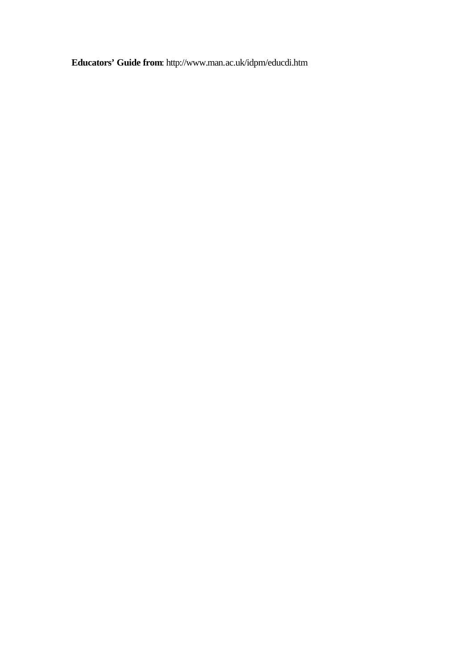**Educators' Guide from**: http://www.man.ac.uk/idpm/educdi.htm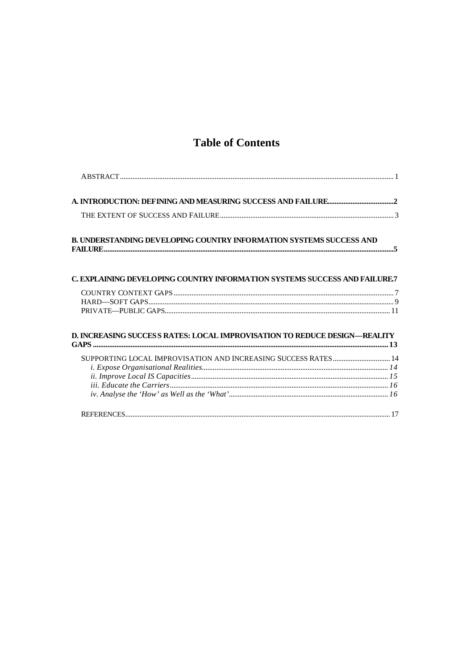#### **Table of Contents**

| <b>B. UNDERSTANDING DEVELOPING COUNTRY INFORMATION SYSTEMS SUCCESS AND</b>       |  |
|----------------------------------------------------------------------------------|--|
| <b>C. EXPLAINING DEVELOPING COUNTRY INFORMATION SYSTEMS SUCCESS AND FAILURE7</b> |  |
|                                                                                  |  |
|                                                                                  |  |
| D. INCREASING SUCCESS RATES: LOCAL IMPROVISATION TO REDUCE DESIGN—REALITY        |  |
| SUPPORTING LOCAL IMPROVISATION AND INCREASING SUCCESS RATES 14                   |  |
|                                                                                  |  |
|                                                                                  |  |
|                                                                                  |  |
|                                                                                  |  |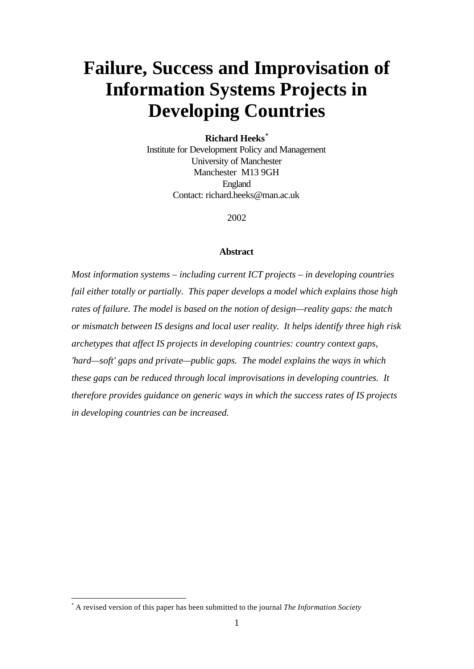# **Failure, Success and Improvisation of Information Systems Projects in Developing Countries**

#### **Richard Heeks\***

Institute for Development Policy and Management University of Manchester Manchester M13 9GH England Contact: richard.heeks@man.ac.uk

2002

#### **Abstract**

*Most information systems – including current ICT projects – in developing countries fail either totally or partially. This paper develops a model which explains those high rates of failure. The model is based on the notion of design—reality gaps: the match or mismatch between IS designs and local user reality. It helps identify three high risk archetypes that affect IS projects in developing countries: country context gaps, 'hard—soft' gaps and private—public gaps. The model explains the ways in which these gaps can be reduced through local improvisations in developing countries. It therefore provides guidance on generic ways in which the success rates of IS projects in developing countries can be increased.*

l

<sup>\*</sup> A revised version of this paper has been submitted to the journal *The Information Society*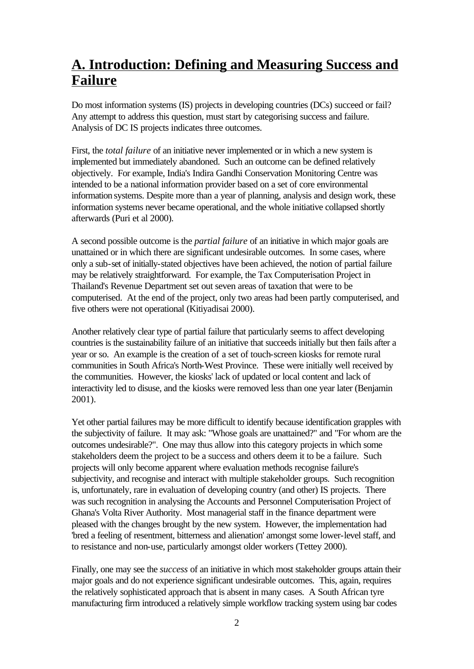# **A. Introduction: Defining and Measuring Success and Failure**

Do most information systems (IS) projects in developing countries (DCs) succeed or fail? Any attempt to address this question, must start by categorising success and failure. Analysis of DC IS projects indicates three outcomes.

First, the *total failure* of an initiative never implemented or in which a new system is implemented but immediately abandoned. Such an outcome can be defined relatively objectively. For example, India's Indira Gandhi Conservation Monitoring Centre was intended to be a national information provider based on a set of core environmental information systems. Despite more than a year of planning, analysis and design work, these information systems never became operational, and the whole initiative collapsed shortly afterwards (Puri et al 2000).

A second possible outcome is the *partial failure* of an initiative in which major goals are unattained or in which there are significant undesirable outcomes. In some cases, where only a sub-set of initially-stated objectives have been achieved, the notion of partial failure may be relatively straightforward. For example, the Tax Computerisation Project in Thailand's Revenue Department set out seven areas of taxation that were to be computerised. At the end of the project, only two areas had been partly computerised, and five others were not operational (Kitiyadisai 2000).

Another relatively clear type of partial failure that particularly seems to affect developing countries is the sustainability failure of an initiative that succeeds initially but then fails after a year or so. An example is the creation of a set of touch-screen kiosks for remote rural communities in South Africa's North-West Province. These were initially well received by the communities. However, the kiosks' lack of updated or local content and lack of interactivity led to disuse, and the kiosks were removed less than one year later (Benjamin 2001).

Yet other partial failures may be more difficult to identify because identification grapples with the subjectivity of failure. It may ask: "Whose goals are unattained?" and "For whom are the outcomes undesirable?". One may thus allow into this category projects in which some stakeholders deem the project to be a success and others deem it to be a failure. Such projects will only become apparent where evaluation methods recognise failure's subjectivity, and recognise and interact with multiple stakeholder groups. Such recognition is, unfortunately, rare in evaluation of developing country (and other) IS projects. There was such recognition in analysing the Accounts and Personnel Computerisation Project of Ghana's Volta River Authority. Most managerial staff in the finance department were pleased with the changes brought by the new system. However, the implementation had 'bred a feeling of resentment, bitterness and alienation' amongst some lower-level staff, and to resistance and non-use, particularly amongst older workers (Tettey 2000).

Finally, one may see the *success* of an initiative in which most stakeholder groups attain their major goals and do not experience significant undesirable outcomes. This, again, requires the relatively sophisticated approach that is absent in many cases. A South African tyre manufacturing firm introduced a relatively simple workflow tracking system using bar codes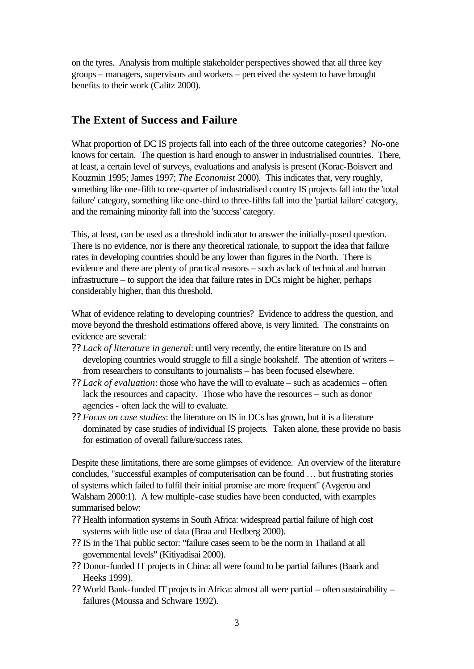on the tyres. Analysis from multiple stakeholder perspectives showed that all three key groups – managers, supervisors and workers – perceived the system to have brought benefits to their work (Calitz 2000).

#### **The Extent of Success and Failure**

What proportion of DC IS projects fall into each of the three outcome categories? No-one knows for certain. The question is hard enough to answer in industrialised countries. There, at least, a certain level of surveys, evaluations and analysis is present (Korac-Boisvert and Kouzmin 1995; James 1997; *The Economist* 2000). This indicates that, very roughly, something like one-fifth to one-quarter of industrialised country IS projects fall into the 'total failure' category, something like one-third to three-fifths fall into the 'partial failure' category, and the remaining minority fall into the 'success' category.

This, at least, can be used as a threshold indicator to answer the initially-posed question. There is no evidence, nor is there any theoretical rationale, to support the idea that failure rates in developing countries should be any lower than figures in the North. There is evidence and there are plenty of practical reasons – such as lack of technical and human infrastructure – to support the idea that failure rates in DCs might be higher, perhaps considerably higher, than this threshold.

What of evidence relating to developing countries? Evidence to address the question, and move beyond the threshold estimations offered above, is very limited. The constraints on evidence are several:

- ?? *Lack of literature in general*: until very recently, the entire literature on IS and developing countries would struggle to fill a single bookshelf. The attention of writers – from researchers to consultants to journalists – has been focused elsewhere.
- ?? *Lack of evaluation*: those who have the will to evaluate such as academics often lack the resources and capacity. Those who have the resources – such as donor agencies - often lack the will to evaluate.
- ?? *Focus on case studies*: the literature on IS in DCs has grown, but it is a literature dominated by case studies of individual IS projects. Taken alone, these provide no basis for estimation of overall failure/success rates.

Despite these limitations, there are some glimpses of evidence. An overview of the literature concludes, "successful examples of computerisation can be found … but frustrating stories of systems which failed to fulfil their initial promise are more frequent" (Avgerou and Walsham 2000:1). A few multiple-case studies have been conducted, with examples summarised below:

- ?? Health information systems in South Africa: widespread partial failure of high cost systems with little use of data (Braa and Hedberg 2000).
- ?? IS in the Thai public sector: "failure cases seem to be the norm in Thailand at all governmental levels" (Kitiyadisai 2000).
- ?? Donor-funded IT projects in China: all were found to be partial failures (Baark and Heeks 1999).
- ?? World Bank-funded IT projects in Africa: almost all were partial often sustainability failures (Moussa and Schware 1992).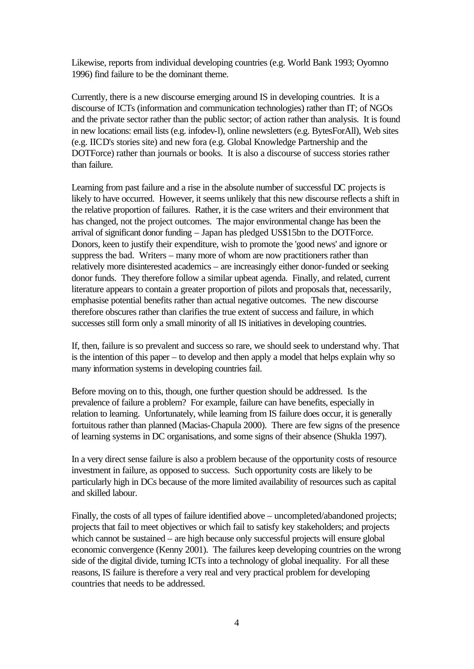Likewise, reports from individual developing countries (e.g. World Bank 1993; Oyomno 1996) find failure to be the dominant theme.

Currently, there is a new discourse emerging around IS in developing countries. It is a discourse of ICTs (information and communication technologies) rather than IT; of NGOs and the private sector rather than the public sector; of action rather than analysis. It is found in new locations: email lists (e.g. infodev-l), online newsletters (e.g. BytesForAll), Web sites (e.g. IICD's stories site) and new fora (e.g. Global Knowledge Partnership and the DOTForce) rather than journals or books. It is also a discourse of success stories rather than failure.

Learning from past failure and a rise in the absolute number of successful DC projects is likely to have occurred. However, it seems unlikely that this new discourse reflects a shift in the relative proportion of failures. Rather, it is the case writers and their environment that has changed, not the project outcomes. The major environmental change has been the arrival of significant donor funding – Japan has pledged US\$15bn to the DOTForce. Donors, keen to justify their expenditure, wish to promote the 'good news' and ignore or suppress the bad. Writers – many more of whom are now practitioners rather than relatively more disinterested academics – are increasingly either donor-funded or seeking donor funds. They therefore follow a similar upbeat agenda. Finally, and related, current literature appears to contain a greater proportion of pilots and proposals that, necessarily, emphasise potential benefits rather than actual negative outcomes. The new discourse therefore obscures rather than clarifies the true extent of success and failure, in which successes still form only a small minority of all IS initiatives in developing countries.

If, then, failure is so prevalent and success so rare, we should seek to understand why. That is the intention of this paper – to develop and then apply a model that helps explain why so many information systems in developing countries fail.

Before moving on to this, though, one further question should be addressed. Is the prevalence of failure a problem? For example, failure can have benefits, especially in relation to learning. Unfortunately, while learning from IS failure does occur, it is generally fortuitous rather than planned (Macias-Chapula 2000). There are few signs of the presence of learning systems in DC organisations, and some signs of their absence (Shukla 1997).

In a very direct sense failure is also a problem because of the opportunity costs of resource investment in failure, as opposed to success. Such opportunity costs are likely to be particularly high in DCs because of the more limited availability of resources such as capital and skilled labour.

Finally, the costs of all types of failure identified above – uncompleted/abandoned projects; projects that fail to meet objectives or which fail to satisfy key stakeholders; and projects which cannot be sustained – are high because only successful projects will ensure global economic convergence (Kenny 2001). The failures keep developing countries on the wrong side of the digital divide, turning ICTs into a technology of global inequality. For all these reasons, IS failure is therefore a very real and very practical problem for developing countries that needs to be addressed.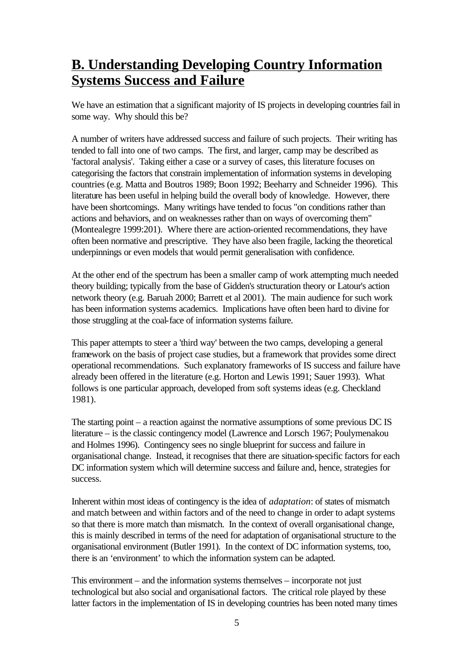### **B. Understanding Developing Country Information Systems Success and Failure**

We have an estimation that a significant majority of IS projects in developing countries fail in some way. Why should this be?

A number of writers have addressed success and failure of such projects. Their writing has tended to fall into one of two camps. The first, and larger, camp may be described as 'factoral analysis'. Taking either a case or a survey of cases, this literature focuses on categorising the factors that constrain implementation of information systems in developing countries (e.g. Matta and Boutros 1989; Boon 1992; Beeharry and Schneider 1996). This literature has been useful in helping build the overall body of knowledge. However, there have been shortcomings. Many writings have tended to focus "on conditions rather than actions and behaviors, and on weaknesses rather than on ways of overcoming them" (Montealegre 1999:201). Where there are action-oriented recommendations, they have often been normative and prescriptive. They have also been fragile, lacking the theoretical underpinnings or even models that would permit generalisation with confidence.

At the other end of the spectrum has been a smaller camp of work attempting much needed theory building; typically from the base of Gidden's structuration theory or Latour's action network theory (e.g. Baruah 2000; Barrett et al 2001). The main audience for such work has been information systems academics. Implications have often been hard to divine for those struggling at the coal-face of information systems failure.

This paper attempts to steer a 'third way' between the two camps, developing a general framework on the basis of project case studies, but a framework that provides some direct operational recommendations. Such explanatory frameworks of IS success and failure have already been offered in the literature (e.g. Horton and Lewis 1991; Sauer 1993). What follows is one particular approach, developed from soft systems ideas (e.g. Checkland 1981).

The starting point – a reaction against the normative assumptions of some previous DC IS literature – is the classic contingency model (Lawrence and Lorsch 1967; Poulymenakou and Holmes 1996). Contingency sees no single blueprint for success and failure in organisational change. Instead, it recognises that there are situation-specific factors for each DC information system which will determine success and failure and, hence, strategies for success.

Inherent within most ideas of contingency is the idea of *adaptation*: of states of mismatch and match between and within factors and of the need to change in order to adapt systems so that there is more match than mismatch. In the context of overall organisational change, this is mainly described in terms of the need for adaptation of organisational structure to the organisational environment (Butler 1991). In the context of DC information systems, too, there is an 'environment' to which the information system can be adapted.

This environment – and the information systems themselves – incorporate not just technological but also social and organisational factors. The critical role played by these latter factors in the implementation of IS in developing countries has been noted many times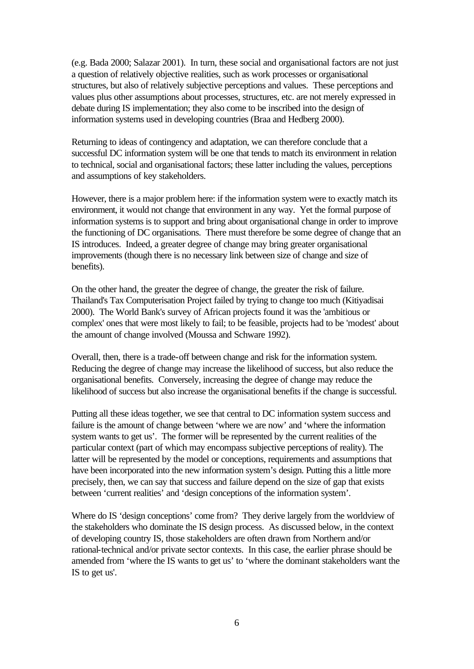(e.g. Bada 2000; Salazar 2001). In turn, these social and organisational factors are not just a question of relatively objective realities, such as work processes or organisational structures, but also of relatively subjective perceptions and values. These perceptions and values plus other assumptions about processes, structures, etc. are not merely expressed in debate during IS implementation; they also come to be inscribed into the design of information systems used in developing countries (Braa and Hedberg 2000).

Returning to ideas of contingency and adaptation, we can therefore conclude that a successful DC information system will be one that tends to match its environment in relation to technical, social and organisational factors; these latter including the values, perceptions and assumptions of key stakeholders.

However, there is a major problem here: if the information system were to exactly match its environment, it would not change that environment in any way. Yet the formal purpose of information systems is to support and bring about organisational change in order to improve the functioning of DC organisations. There must therefore be some degree of change that an IS introduces. Indeed, a greater degree of change may bring greater organisational improvements (though there is no necessary link between size of change and size of benefits).

On the other hand, the greater the degree of change, the greater the risk of failure. Thailand's Tax Computerisation Project failed by trying to change too much (Kitiyadisai 2000). The World Bank's survey of African projects found it was the 'ambitious or complex' ones that were most likely to fail; to be feasible, projects had to be 'modest' about the amount of change involved (Moussa and Schware 1992).

Overall, then, there is a trade-off between change and risk for the information system. Reducing the degree of change may increase the likelihood of success, but also reduce the organisational benefits. Conversely, increasing the degree of change may reduce the likelihood of success but also increase the organisational benefits if the change is successful.

Putting all these ideas together, we see that central to DC information system success and failure is the amount of change between 'where we are now' and 'where the information system wants to get us'. The former will be represented by the current realities of the particular context (part of which may encompass subjective perceptions of reality). The latter will be represented by the model or conceptions, requirements and assumptions that have been incorporated into the new information system's design. Putting this a little more precisely, then, we can say that success and failure depend on the size of gap that exists between 'current realities' and 'design conceptions of the information system'.

Where do IS 'design conceptions' come from? They derive largely from the worldview of the stakeholders who dominate the IS design process. As discussed below, in the context of developing country IS, those stakeholders are often drawn from Northern and/or rational-technical and/or private sector contexts. In this case, the earlier phrase should be amended from 'where the IS wants to get us' to 'where the dominant stakeholders want the IS to get us'.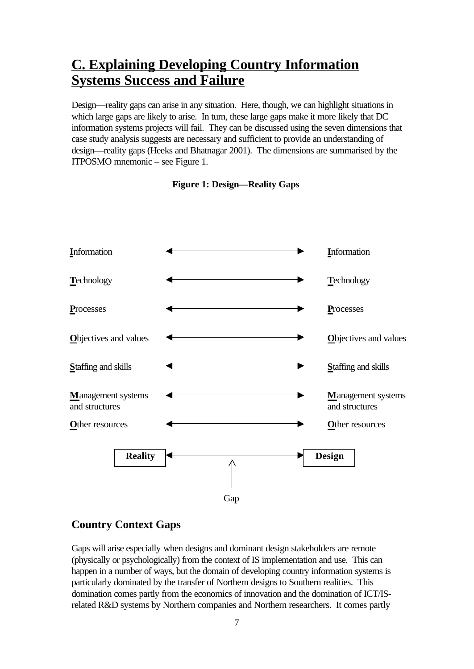# **C. Explaining Developing Country Information Systems Success and Failure**

Design—reality gaps can arise in any situation. Here, though, we can highlight situations in which large gaps are likely to arise. In turn, these large gaps make it more likely that DC information systems projects will fail. They can be discussed using the seven dimensions that case study analysis suggests are necessary and sufficient to provide an understanding of design—reality gaps (Heeks and Bhatnagar 2001). The dimensions are summarised by the ITPOSMO mnemonic – see Figure 1.



#### **Figure 1: Design—Reality Gaps**

#### **Country Context Gaps**

Gaps will arise especially when designs and dominant design stakeholders are remote (physically or psychologically) from the context of IS implementation and use. This can happen in a number of ways, but the domain of developing country information systems is particularly dominated by the transfer of Northern designs to Southern realities. This domination comes partly from the economics of innovation and the domination of ICT/ISrelated R&D systems by Northern companies and Northern researchers. It comes partly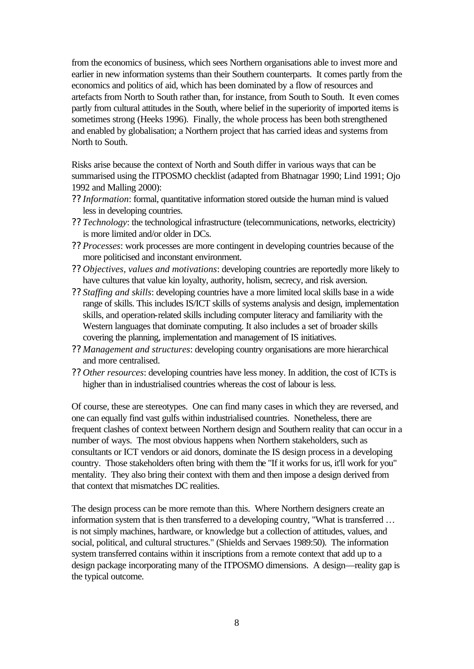from the economics of business, which sees Northern organisations able to invest more and earlier in new information systems than their Southern counterparts. It comes partly from the economics and politics of aid, which has been dominated by a flow of resources and artefacts from North to South rather than, for instance, from South to South. It even comes partly from cultural attitudes in the South, where belief in the superiority of imported items is sometimes strong (Heeks 1996). Finally, the whole process has been both strengthened and enabled by globalisation; a Northern project that has carried ideas and systems from North to South.

Risks arise because the context of North and South differ in various ways that can be summarised using the ITPOSMO checklist (adapted from Bhatnagar 1990; Lind 1991; Ojo 1992 and Malling 2000):

- ?? *Information*: formal, quantitative information stored outside the human mind is valued less in developing countries.
- ?? *Technology*: the technological infrastructure (telecommunications, networks, electricity) is more limited and/or older in DCs.
- ?? *Processes*: work processes are more contingent in developing countries because of the more politicised and inconstant environment.
- ?? *Objectives, values and motivations*: developing countries are reportedly more likely to have cultures that value kin loyalty, authority, holism, secrecy, and risk aversion.
- ?? *Staffing and skills*: developing countries have a more limited local skills base in a wide range of skills. This includes IS/ICT skills of systems analysis and design, implementation skills, and operation-related skills including computer literacy and familiarity with the Western languages that dominate computing. It also includes a set of broader skills covering the planning, implementation and management of IS initiatives.
- ?? *Management and structures*: developing country organisations are more hierarchical and more centralised.
- ?? *Other resources*: developing countries have less money. In addition, the cost of ICTs is higher than in industrialised countries whereas the cost of labour is less.

Of course, these are stereotypes. One can find many cases in which they are reversed, and one can equally find vast gulfs within industrialised countries. Nonetheless, there are frequent clashes of context between Northern design and Southern reality that can occur in a number of ways. The most obvious happens when Northern stakeholders, such as consultants or ICT vendors or aid donors, dominate the IS design process in a developing country. Those stakeholders often bring with them the "If it works for us, it'll work for you" mentality. They also bring their context with them and then impose a design derived from that context that mismatches DC realities.

The design process can be more remote than this. Where Northern designers create an information system that is then transferred to a developing country, "What is transferred … is not simply machines, hardware, or knowledge but a collection of attitudes, values, and social, political, and cultural structures." (Shields and Servaes 1989:50). The information system transferred contains within it inscriptions from a remote context that add up to a design package incorporating many of the ITPOSMO dimensions. A design—reality gap is the typical outcome.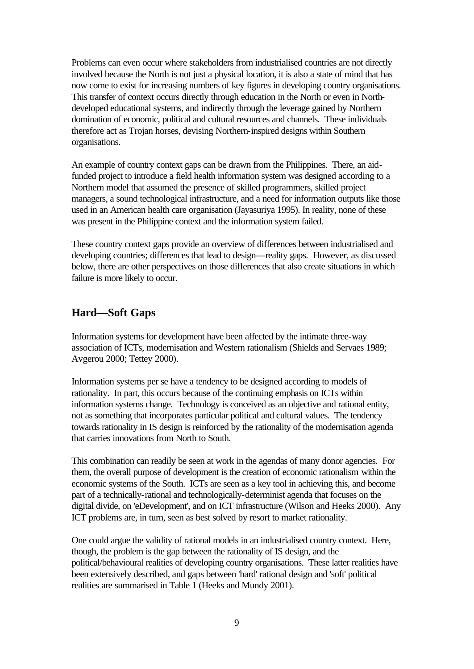Problems can even occur where stakeholders from industrialised countries are not directly involved because the North is not just a physical location, it is also a state of mind that has now come to exist for increasing numbers of key figures in developing country organisations. This transfer of context occurs directly through education in the North or even in Northdeveloped educational systems, and indirectly through the leverage gained by Northern domination of economic, political and cultural resources and channels. These individuals therefore act as Trojan horses, devising Northern-inspired designs within Southern organisations.

An example of country context gaps can be drawn from the Philippines. There, an aidfunded project to introduce a field health information system was designed according to a Northern model that assumed the presence of skilled programmers, skilled project managers, a sound technological infrastructure, and a need for information outputs like those used in an American health care organisation (Jayasuriya 1995). In reality, none of these was present in the Philippine context and the information system failed.

These country context gaps provide an overview of differences between industrialised and developing countries; differences that lead to design—reality gaps. However, as discussed below, there are other perspectives on those differences that also create situations in which failure is more likely to occur.

#### **Hard—Soft Gaps**

Information systems for development have been affected by the intimate three-way association of ICTs, modernisation and Western rationalism (Shields and Servaes 1989; Avgerou 2000; Tettey 2000).

Information systems per se have a tendency to be designed according to models of rationality. In part, this occurs because of the continuing emphasis on ICTs within information systems change. Technology is conceived as an objective and rational entity, not as something that incorporates particular political and cultural values. The tendency towards rationality in IS design is reinforced by the rationality of the modernisation agenda that carries innovations from North to South.

This combination can readily be seen at work in the agendas of many donor agencies. For them, the overall purpose of development is the creation of economic rationalism within the economic systems of the South. ICTs are seen as a key tool in achieving this, and become part of a technically-rational and technologically-determinist agenda that focuses on the digital divide, on 'eDevelopment', and on ICT infrastructure (Wilson and Heeks 2000). Any ICT problems are, in turn, seen as best solved by resort to market rationality.

One could argue the validity of rational models in an industrialised country context. Here, though, the problem is the gap between the rationality of IS design, and the political/behavioural realities of developing country organisations. These latter realities have been extensively described, and gaps between 'hard' rational design and 'soft' political realities are summarised in Table 1 (Heeks and Mundy 2001).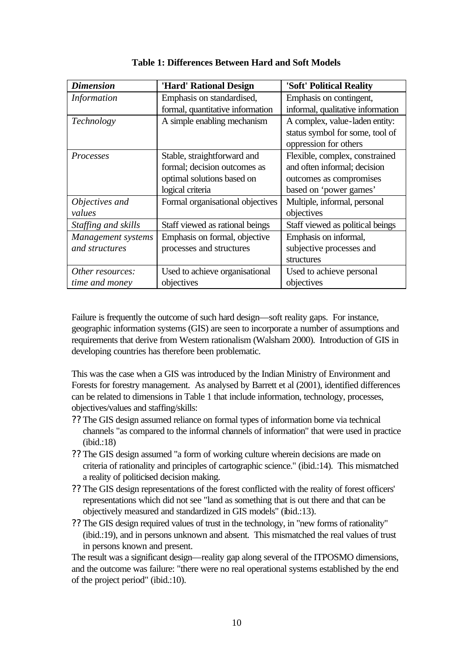| <b>Dimension</b>    | 'Hard' Rational Design           | 'Soft' Political Reality          |
|---------------------|----------------------------------|-----------------------------------|
| <b>Information</b>  | Emphasis on standardised,        | Emphasis on contingent,           |
|                     | formal, quantitative information | informal, qualitative information |
| Technology          | A simple enabling mechanism      | A complex, value-laden entity:    |
|                     |                                  | status symbol for some, tool of   |
|                     |                                  | oppression for others             |
| Processes           | Stable, straightforward and      | Flexible, complex, constrained    |
|                     | formal; decision outcomes as     | and often informal; decision      |
|                     | optimal solutions based on       | outcomes as compromises           |
|                     | logical criteria                 | based on 'power games'            |
| Objectives and      | Formal organisational objectives | Multiple, informal, personal      |
| values              |                                  | objectives                        |
| Staffing and skills | Staff viewed as rational beings  | Staff viewed as political beings  |
| Management systems  | Emphasis on formal, objective    | Emphasis on informal,             |
| and structures      | processes and structures         | subjective processes and          |
|                     |                                  | structures                        |
| Other resources:    | Used to achieve organisational   | Used to achieve personal          |
| time and money      | objectives                       | objectives                        |

**Table 1: Differences Between Hard and Soft Models**

Failure is frequently the outcome of such hard design—soft reality gaps. For instance, geographic information systems (GIS) are seen to incorporate a number of assumptions and requirements that derive from Western rationalism (Walsham 2000). Introduction of GIS in developing countries has therefore been problematic.

This was the case when a GIS was introduced by the Indian Ministry of Environment and Forests for forestry management. As analysed by Barrett et al (2001), identified differences can be related to dimensions in Table 1 that include information, technology, processes, objectives/values and staffing/skills:

- ?? The GIS design assumed reliance on formal types of information borne via technical channels "as compared to the informal channels of information" that were used in practice (ibid.:18)
- ?? The GIS design assumed "a form of working culture wherein decisions are made on criteria of rationality and principles of cartographic science." (ibid.:14). This mismatched a reality of politicised decision making.
- ?? The GIS design representations of the forest conflicted with the reality of forest officers' representations which did not see "land as something that is out there and that can be objectively measured and standardized in GIS models" (ibid.:13).
- ?? The GIS design required values of trust in the technology, in "new forms of rationality" (ibid.:19), and in persons unknown and absent. This mismatched the real values of trust in persons known and present.

The result was a significant design—reality gap along several of the ITPOSMO dimensions, and the outcome was failure: "there were no real operational systems established by the end of the project period" (ibid.:10).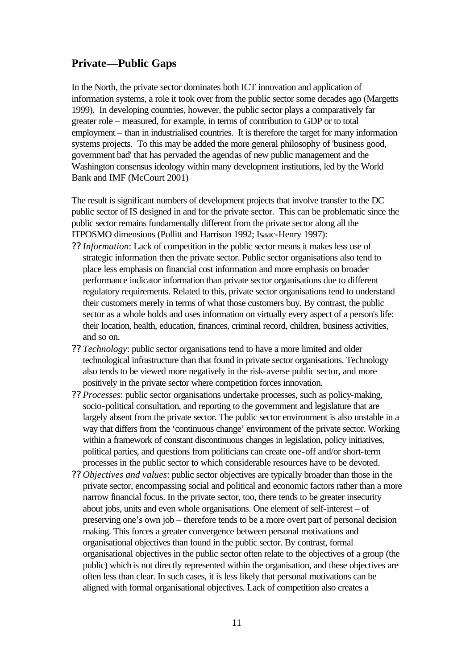#### **Private—Public Gaps**

In the North, the private sector dominates both ICT innovation and application of information systems, a role it took over from the public sector some decades ago (Margetts 1999). In developing countries, however, the public sector plays a comparatively far greater role – measured, for example, in terms of contribution to GDP or to total employment – than in industrialised countries. It is therefore the target for many information systems projects. To this may be added the more general philosophy of 'business good, government bad' that has pervaded the agendas of new public management and the Washington consensus ideology within many development institutions, led by the World Bank and IMF (McCourt 2001)

The result is significant numbers of development projects that involve transfer to the DC public sector of IS designed in and for the private sector. This can be problematic since the public sector remains fundamentally different from the private sector along all the ITPOSMO dimensions (Pollitt and Harrison 1992; Isaac-Henry 1997):

- ?? *Information*: Lack of competition in the public sector means it makes less use of strategic information then the private sector. Public sector organisations also tend to place less emphasis on financial cost information and more emphasis on broader performance indicator information than private sector organisations due to different regulatory requirements. Related to this, private sector organisations tend to understand their customers merely in terms of what those customers buy. By contrast, the public sector as a whole holds and uses information on virtually every aspect of a person's life: their location, health, education, finances, criminal record, children, business activities, and so on.
- ?? *Technology*: public sector organisations tend to have a more limited and older technological infrastructure than that found in private sector organisations. Technology also tends to be viewed more negatively in the risk-averse public sector, and more positively in the private sector where competition forces innovation.
- ?? *Processes*: public sector organisations undertake processes, such as policy-making, socio-political consultation, and reporting to the government and legislature that are largely absent from the private sector. The public sector environment is also unstable in a way that differs from the 'continuous change' environment of the private sector. Working within a framework of constant discontinuous changes in legislation, policy initiatives, political parties, and questions from politicians can create one-off and/or short-term processes in the public sector to which considerable resources have to be devoted.
- ?? *Objectives and values*: public sector objectives are typically broader than those in the private sector, encompassing social and political and economic factors rather than a more narrow financial focus. In the private sector, too, there tends to be greater insecurity about jobs, units and even whole organisations. One element of self-interest – of preserving one's own job – therefore tends to be a more overt part of personal decision making. This forces a greater convergence between personal motivations and organisational objectives than found in the public sector. By contrast, formal organisational objectives in the public sector often relate to the objectives of a group (the public) which is not directly represented within the organisation, and these objectives are often less than clear. In such cases, it is less likely that personal motivations can be aligned with formal organisational objectives. Lack of competition also creates a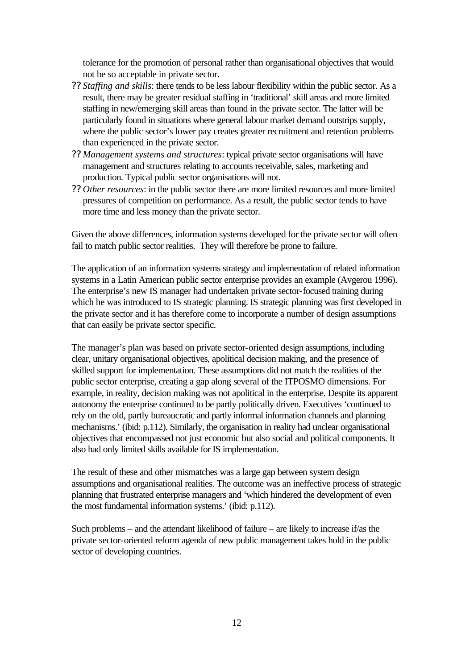tolerance for the promotion of personal rather than organisational objectives that would not be so acceptable in private sector.

- ?? *Staffing and skills*: there tends to be less labour flexibility within the public sector. As a result, there may be greater residual staffing in 'traditional' skill areas and more limited staffing in new/emerging skill areas than found in the private sector. The latter will be particularly found in situations where general labour market demand outstrips supply, where the public sector's lower pay creates greater recruitment and retention problems than experienced in the private sector.
- ?? *Management systems and structures*: typical private sector organisations will have management and structures relating to accounts receivable, sales, marketing and production. Typical public sector organisations will not.
- ?? *Other resources*: in the public sector there are more limited resources and more limited pressures of competition on performance. As a result, the public sector tends to have more time and less money than the private sector.

Given the above differences, information systems developed for the private sector will often fail to match public sector realities. They will therefore be prone to failure.

The application of an information systems strategy and implementation of related information systems in a Latin American public sector enterprise provides an example (Avgerou 1996). The enterprise's new IS manager had undertaken private sector-focused training during which he was introduced to IS strategic planning. IS strategic planning was first developed in the private sector and it has therefore come to incorporate a number of design assumptions that can easily be private sector specific.

The manager's plan was based on private sector-oriented design assumptions, including clear, unitary organisational objectives, apolitical decision making, and the presence of skilled support for implementation. These assumptions did not match the realities of the public sector enterprise, creating a gap along several of the ITPOSMO dimensions. For example, in reality, decision making was not apolitical in the enterprise. Despite its apparent autonomy the enterprise continued to be partly politically driven. Executives 'continued to rely on the old, partly bureaucratic and partly informal information channels and planning mechanisms.' (ibid: p.112). Similarly, the organisation in reality had unclear organisational objectives that encompassed not just economic but also social and political components. It also had only limited skills available for IS implementation.

The result of these and other mismatches was a large gap between system design assumptions and organisational realities. The outcome was an ineffective process of strategic planning that frustrated enterprise managers and 'which hindered the development of even the most fundamental information systems.' (ibid: p.112).

Such problems – and the attendant likelihood of failure – are likely to increase if/as the private sector-oriented reform agenda of new public management takes hold in the public sector of developing countries.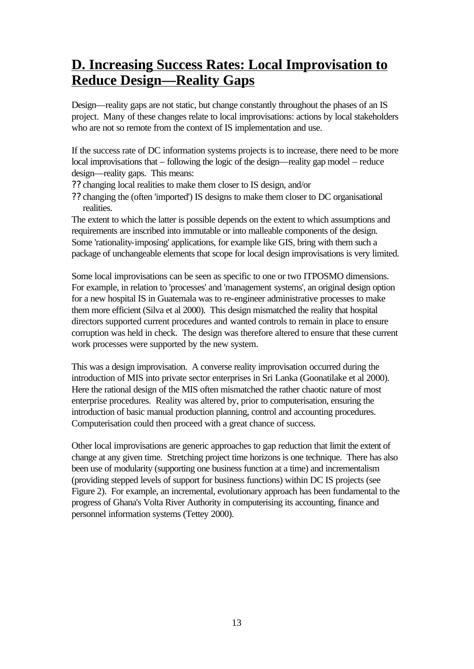# **D. Increasing Success Rates: Local Improvisation to Reduce Design—Reality Gaps**

Design—reality gaps are not static, but change constantly throughout the phases of an IS project. Many of these changes relate to local improvisations: actions by local stakeholders who are not so remote from the context of IS implementation and use.

If the success rate of DC information systems projects is to increase, there need to be more local improvisations that – following the logic of the design—reality gap model – reduce design—reality gaps. This means:

- ?? changing local realities to make them closer to IS design, and/or
- ?? changing the (often 'imported') IS designs to make them closer to DC organisational realities.

The extent to which the latter is possible depends on the extent to which assumptions and requirements are inscribed into immutable or into malleable components of the design. Some 'rationality-imposing' applications, for example like GIS, bring with them such a package of unchangeable elements that scope for local design improvisations is very limited.

Some local improvisations can be seen as specific to one or two ITPOSMO dimensions. For example, in relation to 'processes' and 'management systems', an original design option for a new hospital IS in Guatemala was to re-engineer administrative processes to make them more efficient (Silva et al 2000). This design mismatched the reality that hospital directors supported current procedures and wanted controls to remain in place to ensure corruption was held in check. The design was therefore altered to ensure that these current work processes were supported by the new system.

This was a design improvisation. A converse reality improvisation occurred during the introduction of MIS into private sector enterprises in Sri Lanka (Goonatilake et al 2000). Here the rational design of the MIS often mismatched the rather chaotic nature of most enterprise procedures. Reality was altered by, prior to computerisation, ensuring the introduction of basic manual production planning, control and accounting procedures. Computerisation could then proceed with a great chance of success.

Other local improvisations are generic approaches to gap reduction that limit the extent of change at any given time. Stretching project time horizons is one technique. There has also been use of modularity (supporting one business function at a time) and incrementalism (providing stepped levels of support for business functions) within DC IS projects (see Figure 2). For example, an incremental, evolutionary approach has been fundamental to the progress of Ghana's Volta River Authority in computerising its accounting, finance and personnel information systems (Tettey 2000).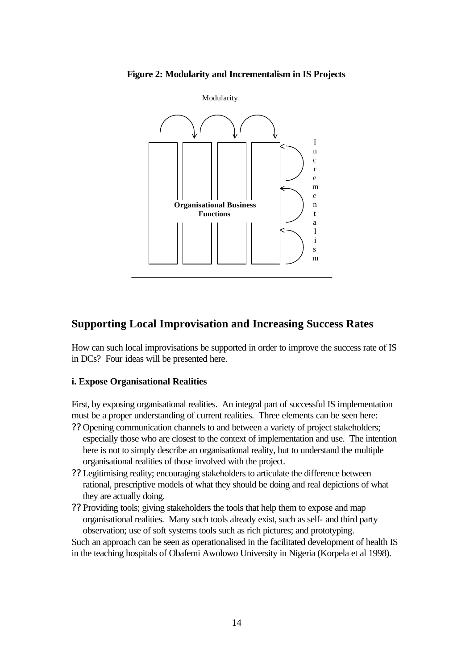



#### **Supporting Local Improvisation and Increasing Success Rates**

How can such local improvisations be supported in order to improve the success rate of IS in DCs? Four ideas will be presented here.

#### **i. Expose Organisational Realities**

First, by exposing organisational realities. An integral part of successful IS implementation must be a proper understanding of current realities. Three elements can be seen here:

- ?? Opening communication channels to and between a variety of project stakeholders; especially those who are closest to the context of implementation and use. The intention here is not to simply describe an organisational reality, but to understand the multiple organisational realities of those involved with the project.
- ?? Legitimising reality; encouraging stakeholders to articulate the difference between rational, prescriptive models of what they should be doing and real depictions of what they are actually doing.
- ?? Providing tools; giving stakeholders the tools that help them to expose and map organisational realities. Many such tools already exist, such as self- and third party observation; use of soft systems tools such as rich pictures; and prototyping.

Such an approach can be seen as operationalised in the facilitated development of health IS in the teaching hospitals of Obafemi Awolowo University in Nigeria (Korpela et al 1998).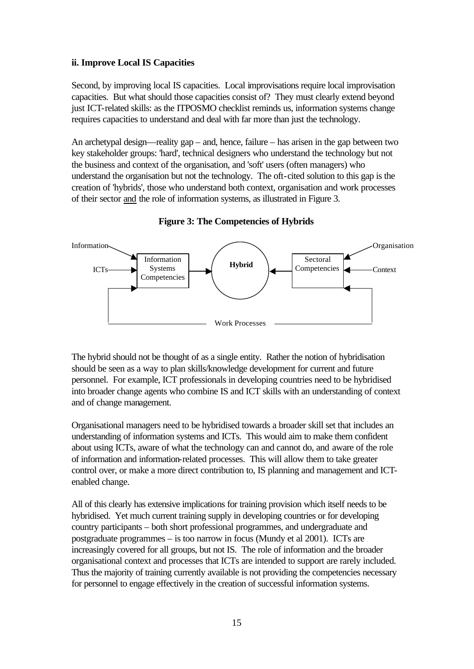#### **ii. Improve Local IS Capacities**

Second, by improving local IS capacities. Local improvisations require local improvisation capacities. But what should those capacities consist of? They must clearly extend beyond just ICT-related skills: as the ITPOSMO checklist reminds us, information systems change requires capacities to understand and deal with far more than just the technology.

An archetypal design—reality gap – and, hence, failure – has arisen in the gap between two key stakeholder groups: 'hard', technical designers who understand the technology but not the business and context of the organisation, and 'soft' users (often managers) who understand the organisation but not the technology. The oft-cited solution to this gap is the creation of 'hybrids', those who understand both context, organisation and work processes of their sector and the role of information systems, as illustrated in Figure 3.



**Figure 3: The Competencies of Hybrids**

The hybrid should not be thought of as a single entity. Rather the notion of hybridisation should be seen as a way to plan skills/knowledge development for current and future personnel. For example, ICT professionals in developing countries need to be hybridised into broader change agents who combine IS and ICT skills with an understanding of context and of change management.

Organisational managers need to be hybridised towards a broader skill set that includes an understanding of information systems and ICTs. This would aim to make them confident about using ICTs, aware of what the technology can and cannot do, and aware of the role of information and information-related processes. This will allow them to take greater control over, or make a more direct contribution to, IS planning and management and ICTenabled change.

All of this clearly has extensive implications for training provision which itself needs to be hybridised. Yet much current training supply in developing countries or for developing country participants – both short professional programmes, and undergraduate and postgraduate programmes – is too narrow in focus (Mundy et al 2001). ICTs are increasingly covered for all groups, but not IS. The role of information and the broader organisational context and processes that ICTs are intended to support are rarely included. Thus the majority of training currently available is not providing the competencies necessary for personnel to engage effectively in the creation of successful information systems.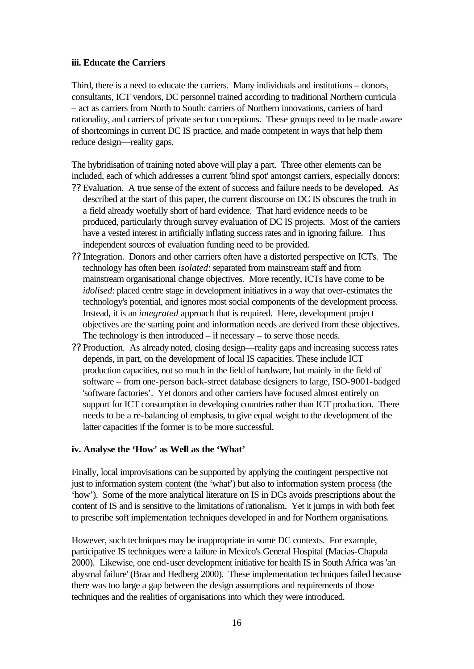#### **iii. Educate the Carriers**

Third, there is a need to educate the carriers. Many individuals and institutions – donors, consultants, ICT vendors, DC personnel trained according to traditional Northern curricula – act as carriers from North to South: carriers of Northern innovations, carriers of hard rationality, and carriers of private sector conceptions. These groups need to be made aware of shortcomings in current DC IS practice, and made competent in ways that help them reduce design—reality gaps.

The hybridisation of training noted above will play a part. Three other elements can be included, each of which addresses a current 'blind spot' amongst carriers, especially donors:

- ?? Evaluation. A true sense of the extent of success and failure needs to be developed. As described at the start of this paper, the current discourse on DC IS obscures the truth in a field already woefully short of hard evidence. That hard evidence needs to be produced, particularly through survey evaluation of DC IS projects. Most of the carriers have a vested interest in artificially inflating success rates and in ignoring failure. Thus independent sources of evaluation funding need to be provided.
- ?? Integration. Donors and other carriers often have a distorted perspective on ICTs. The technology has often been *isolated*: separated from mainstream staff and from mainstream organisational change objectives. More recently, ICTs have come to be *idolised*: placed centre stage in development initiatives in a way that over-estimates the technology's potential, and ignores most social components of the development process. Instead, it is an *integrated* approach that is required. Here, development project objectives are the starting point and information needs are derived from these objectives. The technology is then introduced  $-$  if necessary  $-$  to serve those needs.
- ?? Production. As already noted, closing design—reality gaps and increasing success rates depends, in part, on the development of local IS capacities. These include ICT production capacities, not so much in the field of hardware, but mainly in the field of software – from one-person back-street database designers to large, ISO-9001-badged 'software factories'. Yet donors and other carriers have focused almost entirely on support for ICT consumption in developing countries rather than ICT production. There needs to be a re-balancing of emphasis, to give equal weight to the development of the latter capacities if the former is to be more successful.

#### **iv. Analyse the 'How' as Well as the 'What'**

Finally, local improvisations can be supported by applying the contingent perspective not just to information system content (the 'what') but also to information system process (the 'how'). Some of the more analytical literature on IS in DCs avoids prescriptions about the content of IS and is sensitive to the limitations of rationalism. Yet it jumps in with both feet to prescribe soft implementation techniques developed in and for Northern organisations.

However, such techniques may be inappropriate in some DC contexts. For example, participative IS techniques were a failure in Mexico's General Hospital (Macias-Chapula 2000). Likewise, one end-user development initiative for health IS in South Africa was 'an abysmal failure' (Braa and Hedberg 2000). These implementation techniques failed because there was too large a gap between the design assumptions and requirements of those techniques and the realities of organisations into which they were introduced.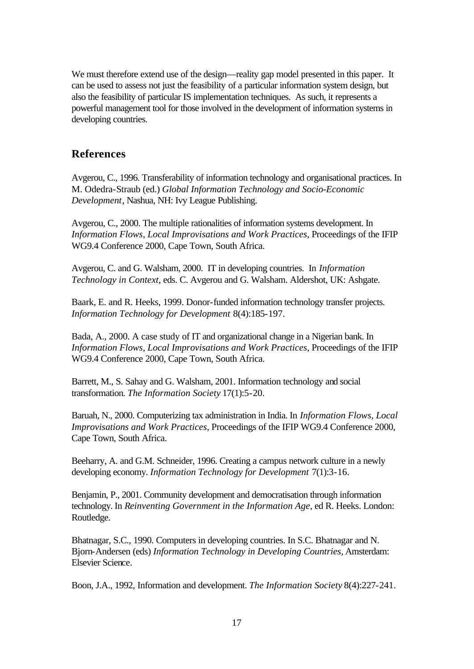We must therefore extend use of the design—reality gap model presented in this paper. It can be used to assess not just the feasibility of a particular information system design, but also the feasibility of particular IS implementation techniques. As such, it represents a powerful management tool for those involved in the development of information systems in developing countries.

#### **References**

Avgerou, C., 1996. Transferability of information technology and organisational practices. In M. Odedra-Straub (ed.) *Global Information Technology and Socio-Economic Development*, Nashua, NH: Ivy League Publishing.

Avgerou, C., 2000. The multiple rationalities of information systems development. In *Information Flows, Local Improvisations and Work Practices*, Proceedings of the IFIP WG9.4 Conference 2000, Cape Town, South Africa.

Avgerou, C. and G. Walsham, 2000. IT in developing countries. In *Information Technology in Context*, eds. C. Avgerou and G. Walsham. Aldershot, UK: Ashgate.

Baark, E. and R. Heeks, 1999. Donor-funded information technology transfer projects. *Information Technology for Development* 8(4):185-197.

Bada, A., 2000. A case study of IT and organizational change in a Nigerian bank. In *Information Flows, Local Improvisations and Work Practices*, Proceedings of the IFIP WG9.4 Conference 2000, Cape Town, South Africa.

Barrett, M., S. Sahay and G. Walsham, 2001. Information technology and social transformation. *The Information Society* 17(1):5-20.

Baruah, N., 2000. Computerizing tax administration in India. In *Information Flows, Local Improvisations and Work Practices*, Proceedings of the IFIP WG9.4 Conference 2000, Cape Town, South Africa.

Beeharry, A. and G.M. Schneider, 1996. Creating a campus network culture in a newly developing economy. *Information Technology for Development* 7(1):3-16.

Benjamin, P., 2001. Community development and democratisation through information technology. In *Reinventing Government in the Information Age*, ed R. Heeks. London: Routledge.

Bhatnagar, S.C., 1990. Computers in developing countries. In S.C. Bhatnagar and N. Bjorn-Andersen (eds) *Information Technology in Developing Countries*, Amsterdam: Elsevier Science.

Boon, J.A., 1992, Information and development. *The Information Society* 8(4):227-241.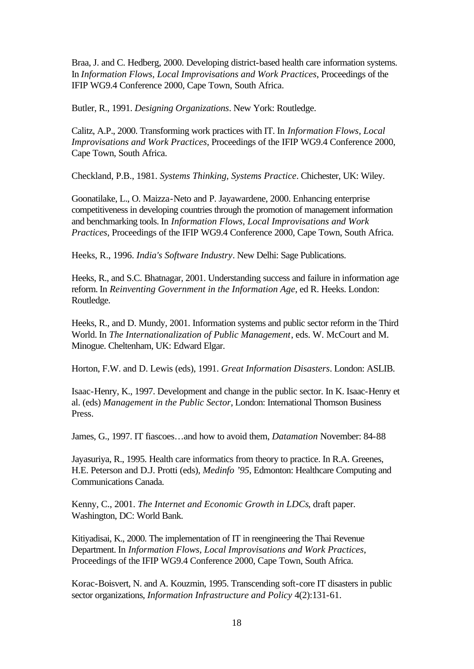Braa, J. and C. Hedberg, 2000. Developing district-based health care information systems. In *Information Flows, Local Improvisations and Work Practices*, Proceedings of the IFIP WG9.4 Conference 2000, Cape Town, South Africa.

Butler, R., 1991. *Designing Organizations*. New York: Routledge.

Calitz, A.P., 2000. Transforming work practices with IT. In *Information Flows, Local Improvisations and Work Practices*, Proceedings of the IFIP WG9.4 Conference 2000, Cape Town, South Africa.

Checkland, P.B., 1981. *Systems Thinking, Systems Practice*. Chichester, UK: Wiley.

Goonatilake, L., O. Maizza-Neto and P. Jayawardene, 2000. Enhancing enterprise competitiveness in developing countries through the promotion of management information and benchmarking tools. In *Information Flows, Local Improvisations and Work Practices*, Proceedings of the IFIP WG9.4 Conference 2000, Cape Town, South Africa.

Heeks, R., 1996. *India's Software Industry*. New Delhi: Sage Publications.

Heeks, R., and S.C. Bhatnagar, 2001. Understanding success and failure in information age reform. In *Reinventing Government in the Information Age*, ed R. Heeks. London: Routledge.

Heeks, R., and D. Mundy, 2001. Information systems and public sector reform in the Third World. In *The Internationalization of Public Management*, eds. W. McCourt and M. Minogue. Cheltenham, UK: Edward Elgar.

Horton, F.W. and D. Lewis (eds), 1991. *Great Information Disasters*. London: ASLIB.

Isaac-Henry, K., 1997. Development and change in the public sector. In K. Isaac-Henry et al. (eds) *Management in the Public Sector*, London: International Thomson Business Press.

James, G., 1997. IT fiascoes…and how to avoid them, *Datamation* November: 84-88

Jayasuriya, R., 1995. Health care informatics from theory to practice. In R.A. Greenes, H.E. Peterson and D.J. Protti (eds), *Medinfo '95*, Edmonton: Healthcare Computing and Communications Canada.

Kenny, C., 2001. *The Internet and Economic Growth in LDCs*, draft paper. Washington, DC: World Bank.

Kitiyadisai, K., 2000. The implementation of IT in reengineering the Thai Revenue Department. In *Information Flows, Local Improvisations and Work Practices*, Proceedings of the IFIP WG9.4 Conference 2000, Cape Town, South Africa.

Korac-Boisvert, N. and A. Kouzmin, 1995. Transcending soft-core IT disasters in public sector organizations, *Information Infrastructure and Policy* 4(2):131-61.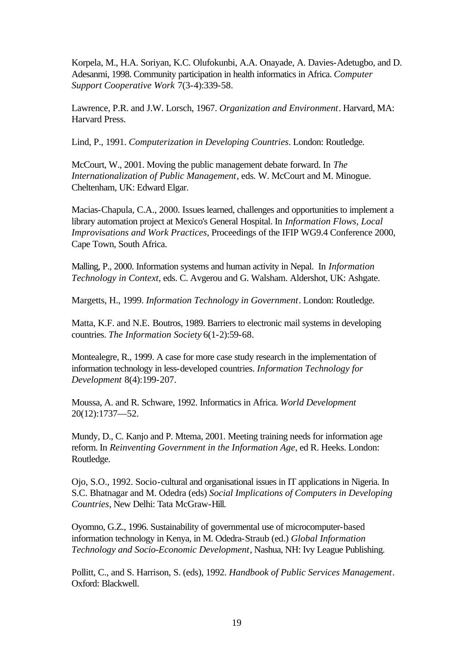Korpela, M., H.A. Soriyan, K.C. Olufokunbi, A.A. Onayade, A. Davies-Adetugbo, and D. Adesanmi, 1998. Community participation in health informatics in Africa. *Computer Support Cooperative Work* 7(3-4):339-58.

Lawrence, P.R. and J.W. Lorsch, 1967. *Organization and Environment*. Harvard, MA: Harvard Press.

Lind, P., 1991. *Computerization in Developing Countries*. London: Routledge.

McCourt, W., 2001. Moving the public management debate forward. In *The Internationalization of Public Management*, eds. W. McCourt and M. Minogue. Cheltenham, UK: Edward Elgar.

Macias-Chapula, C.A., 2000. Issues learned, challenges and opportunities to implement a library automation project at Mexico's General Hospital. In *Information Flows, Local Improvisations and Work Practices*, Proceedings of the IFIP WG9.4 Conference 2000, Cape Town, South Africa.

Malling, P., 2000. Information systems and human activity in Nepal. In *Information Technology in Context*, eds. C. Avgerou and G. Walsham. Aldershot, UK: Ashgate.

Margetts, H., 1999. *Information Technology in Government*. London: Routledge.

Matta, K.F. and N.E. Boutros, 1989. Barriers to electronic mail systems in developing countries. *The Information Society* 6(1-2):59-68.

Montealegre, R., 1999. A case for more case study research in the implementation of information technology in less-developed countries. *Information Technology for Development* 8(4):199-207.

Moussa, A. and R. Schware, 1992. Informatics in Africa. *World Development* 20(12):1737—52.

Mundy, D., C. Kanjo and P. Mtema, 2001. Meeting training needs for information age reform. In *Reinventing Government in the Information Age*, ed R. Heeks. London: Routledge.

Ojo, S.O., 1992. Socio-cultural and organisational issues in IT applications in Nigeria. In S.C. Bhatnagar and M. Odedra (eds) *Social Implications of Computers in Developing Countries*, New Delhi: Tata McGraw-Hill.

Oyomno, G.Z., 1996. Sustainability of governmental use of microcomputer-based information technology in Kenya, in M. Odedra-Straub (ed.) *Global Information Technology and Socio-Economic Development*, Nashua, NH: Ivy League Publishing.

Pollitt, C., and S. Harrison, S. (eds), 1992. *Handbook of Public Services Management*. Oxford: Blackwell.